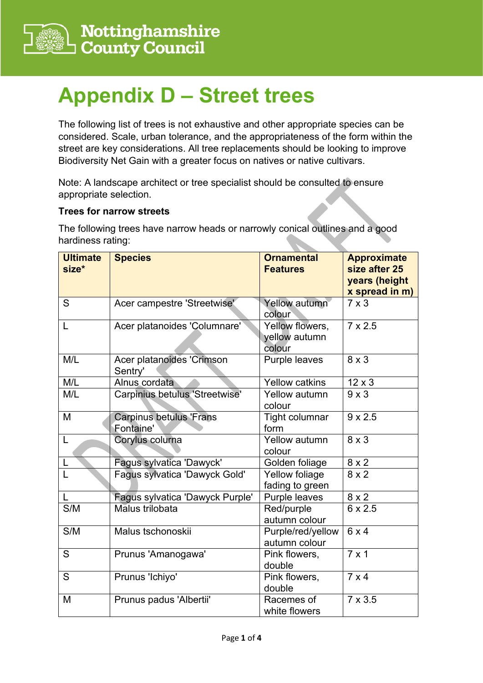

## **Appendix D – Street trees**

The following list of trees is not exhaustive and other appropriate species can be considered. Scale, urban tolerance, and the appropriateness of the form within the street are key considerations. All tree replacements should be looking to improve Biodiversity Net Gain with a greater focus on natives or native cultivars.

Note: A landscape architect or tree specialist should be consulted to ensure appropriate selection.

## **Trees for narrow streets**

The following trees have narrow heads or narrowly conical outlines and a good hardiness rating:

| <b>Ultimate</b><br>size* | <b>Species</b>                              | <b>Ornamental</b><br><b>Features</b>       | <b>Approximate</b><br>size after 25<br>years (height<br>x spread in m) |
|--------------------------|---------------------------------------------|--------------------------------------------|------------------------------------------------------------------------|
| S                        | Acer campestre 'Streetwise'                 | Yellow autumn<br>colour                    | $7 \times 3$                                                           |
| L                        | Acer platanoides 'Columnare'                | Yellow flowers,<br>yellow autumn<br>colour | $7 \times 2.5$                                                         |
| M/L                      | Acer platanoides 'Crimson<br>Sentry'        | Purple leaves                              | $8 \times 3$                                                           |
| M/L                      | Alnus cordata                               | Yellow catkins                             | $12 \times 3$                                                          |
| M/L                      | Carpinius betulus 'Streetwise'              | Yellow autumn<br>colour                    | $9 \times 3$                                                           |
| M                        | <b>Carpinus betulus 'Frans</b><br>Fontaine' | <b>Tight columnar</b><br>form              | $9 \times 2.5$                                                         |
| L                        | Corylus colurna                             | Yellow autumn<br>colour                    | $8 \times 3$                                                           |
|                          | Fagus sylvatica 'Dawyck'                    | Golden foliage                             | $8 \times 2$                                                           |
|                          | Fagus sylvatica 'Dawyck Gold'               | Yellow foliage<br>fading to green          | $8 \times 2$                                                           |
|                          | Fagus sylvatica 'Dawyck Purple'             | Purple leaves                              | $8 \times 2$                                                           |
| S/M                      | Malus trilobata                             | Red/purple<br>autumn colour                | $6 \times 2.5$                                                         |
| S/M                      | Malus tschonoskii                           | Purple/red/yellow<br>autumn colour         | 6x4                                                                    |
| S                        | Prunus 'Amanogawa'                          | Pink flowers,<br>double                    | $7 \times 1$                                                           |
| S                        | Prunus 'Ichiyo'                             | Pink flowers,<br>double                    | $7 \times 4$                                                           |
| M                        | Prunus padus 'Albertii'                     | Racemes of<br>white flowers                | $7 \times 3.5$                                                         |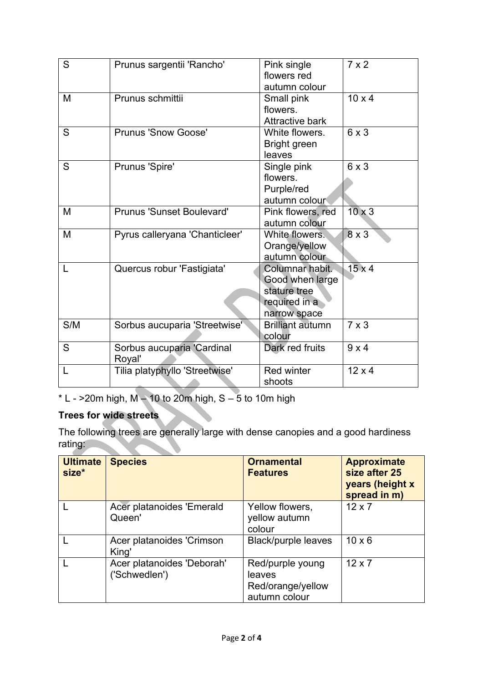| S   | Prunus sargentii 'Rancho'            | Pink single<br>flowers red<br>autumn colour                                         | $7 \times 2$  |
|-----|--------------------------------------|-------------------------------------------------------------------------------------|---------------|
| M   | Prunus schmittii                     | Small pink<br>flowers.<br><b>Attractive bark</b>                                    | $10 \times 4$ |
| S   | <b>Prunus 'Snow Goose'</b>           | White flowers.<br><b>Bright green</b><br>leaves                                     | 6x3           |
| S   | Prunus 'Spire'                       | Single pink<br>flowers.<br>Purple/red<br>autumn colour                              | 6x3           |
| M   | <b>Prunus 'Sunset Boulevard'</b>     | Pink flowers, red<br>autumn colour                                                  | $10 \times 3$ |
| M   | Pyrus calleryana 'Chanticleer'       | White flowers.<br>Orange/yellow<br>autumn colour                                    | $8 \times 3$  |
| L   | Quercus robur 'Fastigiata'           | Columnar habit.<br>Good when large<br>stature tree<br>required in a<br>narrow space | $15 \times 4$ |
| S/M | Sorbus aucuparia 'Streetwise'        | <b>Brilliant autumn</b><br>colour                                                   | $7 \times 3$  |
| S   | Sorbus aucuparia 'Cardinal<br>Royal' | Dark red fruits                                                                     | 9x4           |
|     | Tilia platyphyllo 'Streetwise'       | <b>Red winter</b><br>shoots                                                         | $12 \times 4$ |

 $*$  L - >20m high, M  $-$  10 to 20m high, S  $-$  5 to 10m high

## **Trees for wide streets**

The following trees are generally large with dense canopies and a good hardiness rating:

| <b>Ultimate</b><br>size* | <b>Species</b>                              | <b>Ornamental</b><br><b>Features</b>                             | <b>Approximate</b><br>size after 25<br>years (height x<br>spread in m) |
|--------------------------|---------------------------------------------|------------------------------------------------------------------|------------------------------------------------------------------------|
|                          | Acer platanoides 'Emerald<br>Queen'         | Yellow flowers,<br>yellow autumn<br>colour                       | $12 \times 7$                                                          |
|                          | Acer platanoides 'Crimson<br>King'          | <b>Black/purple leaves</b>                                       | $10 \times 6$                                                          |
|                          | Acer platanoides 'Deborah'<br>('Schwedlen') | Red/purple young<br>leaves<br>Red/orange/yellow<br>autumn colour | $12 \times 7$                                                          |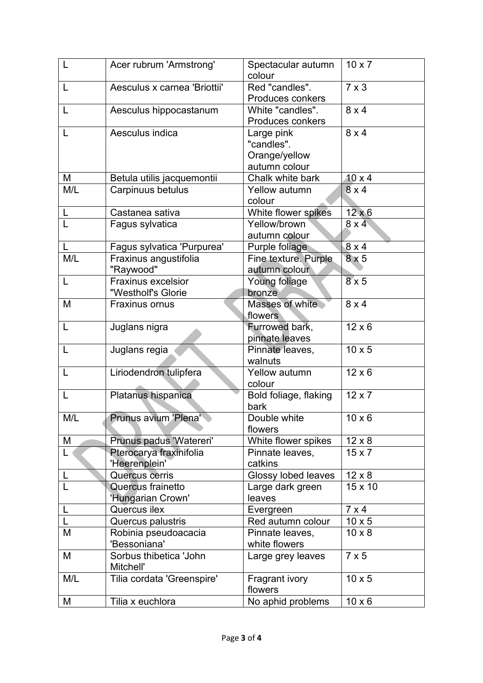| L                       | Acer rubrum 'Armstrong'      | Spectacular autumn<br>colour     | $10 \times 7$ |
|-------------------------|------------------------------|----------------------------------|---------------|
| L                       | Aesculus x carnea 'Briottii' | Red "candles".                   | $7 \times 3$  |
|                         |                              | <b>Produces conkers</b>          |               |
| L                       | Aesculus hippocastanum       | White "candles".                 | $8 \times 4$  |
|                         |                              | <b>Produces conkers</b>          |               |
| L                       | Aesculus indica              | Large pink                       | $8 \times 4$  |
|                         |                              | "candles".                       |               |
|                         |                              | Orange/yellow                    |               |
|                         |                              | autumn colour                    |               |
| M                       | Betula utilis jacquemontii   | Chalk white bark                 | $10 \times 4$ |
| M/L                     | Carpinuus betulus            | <b>Yellow autumn</b>             | 8x4           |
|                         |                              | colour                           |               |
| L                       | Castanea sativa              | White flower spikes              | $12 \times 6$ |
| $\overline{\mathsf{L}}$ | Fagus sylvatica              | Yellow/brown                     | 8x4           |
|                         |                              | autumn colour                    |               |
|                         | Fagus sylvatica 'Purpurea'   | Purple foliage                   | $8 \times 4$  |
| M/L                     | Fraxinus angustifolia        | <b>Fine texture. Purple</b>      | 8x5           |
|                         | "Raywood"                    | autumn colour                    |               |
| L                       | <b>Fraxinus excelsior</b>    | Young foliage                    | $8 \times 5$  |
|                         | "Westholf's Glorie           | bronze                           | $8 \times 4$  |
| M                       | Fraxinus ornus               | Masses of white                  |               |
| L                       |                              | flowers                          | $12 \times 6$ |
|                         | Juglans nigra                | Furrowed bark,<br>pinnate leaves |               |
| L                       | Juglans regia                | Pinnate leaves,                  | $10 \times 5$ |
|                         |                              | walnuts                          |               |
| L                       | Liriodendron tulipfera       | Yellow autumn                    | $12 \times 6$ |
|                         |                              | colour                           |               |
| L                       | Platanus hispanica           | Bold foliage, flaking            | $12 \times 7$ |
|                         |                              | bark                             |               |
| M/L                     | Prunus avium 'Plena'         | Double white                     | $10 \times 6$ |
|                         |                              | flowers                          |               |
| M                       | Prunus padus 'Watereri'      | White flower spikes              | $12 \times 8$ |
| L                       | Pterocarya fraxinifolia      | Pinnate leaves,                  | $15 \times 7$ |
|                         | 'Heerenplein'                | catkins                          |               |
| L                       | Quercus cerris               | Glossy lobed leaves              | $12 \times 8$ |
| L                       | Quercus frainetto            | Large dark green                 | 15 x 10       |
|                         | 'Hungarian Crown'            | leaves                           |               |
|                         | Quercus ilex                 | Evergreen                        | $7 \times 4$  |
|                         | Quercus palustris            | Red autumn colour                | $10 \times 5$ |
| M                       | Robinia pseudoacacia         | Pinnate leaves,                  | $10 \times 8$ |
|                         | 'Bessoniana'                 | white flowers                    |               |
| M                       | Sorbus thibetica 'John       | Large grey leaves                | $7 \times 5$  |
|                         | Mitchell'                    |                                  |               |
| M/L                     | Tilia cordata 'Greenspire'   | Fragrant ivory                   | $10 \times 5$ |
|                         |                              | flowers                          |               |
| M                       | Tilia x euchlora             | No aphid problems                | $10 \times 6$ |